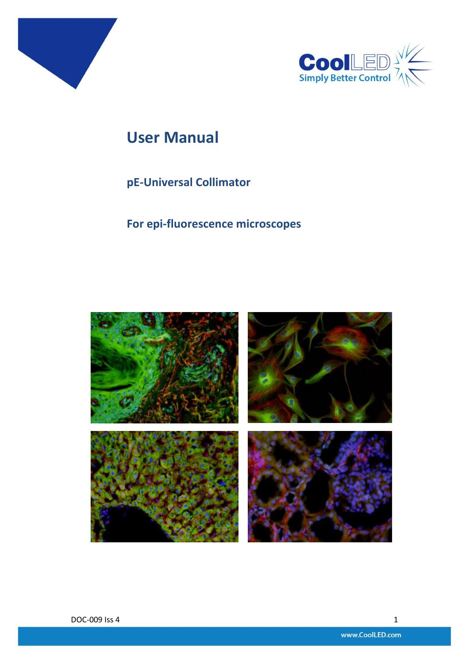



# **User Manual**

## **pE-Universal Collimator**

**For epi-fluorescence microscopes**

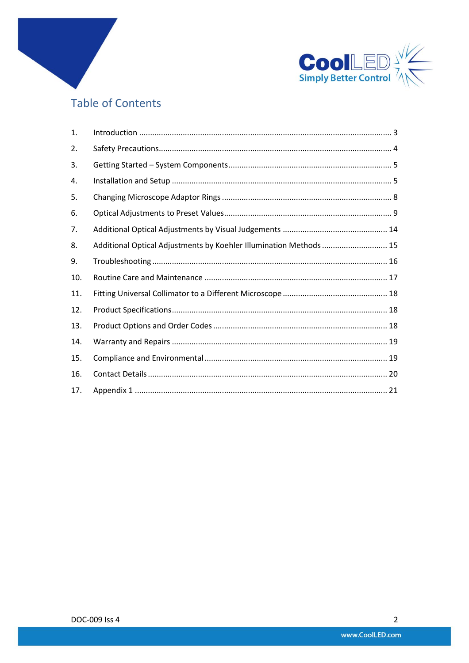

## **Table of Contents**

| 1.  |                                                                    |  |
|-----|--------------------------------------------------------------------|--|
| 2.  |                                                                    |  |
| 3.  |                                                                    |  |
| 4.  |                                                                    |  |
| 5.  |                                                                    |  |
| 6.  |                                                                    |  |
| 7.  |                                                                    |  |
| 8.  | Additional Optical Adjustments by Koehler Illumination Methods  15 |  |
| 9.  |                                                                    |  |
| 10. |                                                                    |  |
| 11. |                                                                    |  |
| 12. |                                                                    |  |
| 13. |                                                                    |  |
| 14. |                                                                    |  |
| 15. |                                                                    |  |
| 16. |                                                                    |  |
| 17. |                                                                    |  |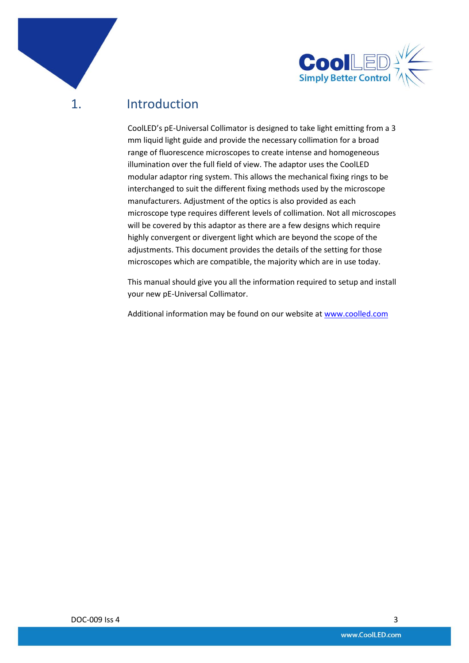

### <span id="page-2-0"></span>1. Introduction

CoolLED's pE-Universal Collimator is designed to take light emitting from a 3 mm liquid light guide and provide the necessary collimation for a broad range of fluorescence microscopes to create intense and homogeneous illumination over the full field of view. The adaptor uses the CoolLED modular adaptor ring system. This allows the mechanical fixing rings to be interchanged to suit the different fixing methods used by the microscope manufacturers. Adjustment of the optics is also provided as each microscope type requires different levels of collimation. Not all microscopes will be covered by this adaptor as there are a few designs which require highly convergent or divergent light which are beyond the scope of the adjustments. This document provides the details of the setting for those microscopes which are compatible, the majority which are in use today.

This manual should give you all the information required to setup and install your new pE-Universal Collimator.

Additional information may be found on our website at [www.coolled.com](http://www.coolled.com/)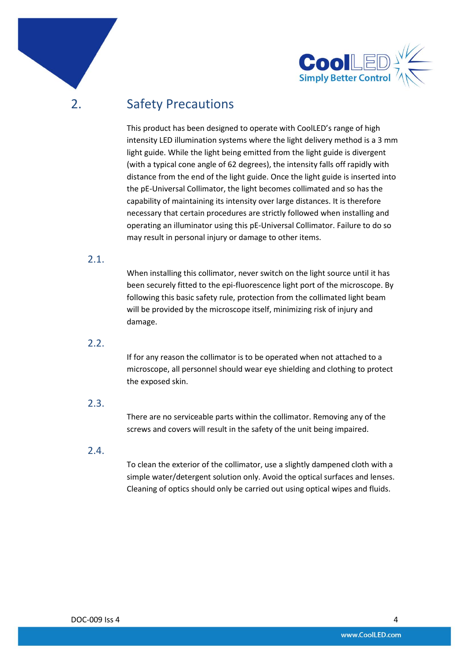



<span id="page-3-0"></span>2. Safety Precautions

This product has been designed to operate with CoolLED's range of high intensity LED illumination systems where the light delivery method is a 3 mm light guide. While the light being emitted from the light guide is divergent (with a typical cone angle of 62 degrees), the intensity falls off rapidly with distance from the end of the light guide. Once the light guide is inserted into the pE-Universal Collimator, the light becomes collimated and so has the capability of maintaining its intensity over large distances. It is therefore necessary that certain procedures are strictly followed when installing and operating an illuminator using this pE-Universal Collimator. Failure to do so may result in personal injury or damage to other items.

#### 2.1.

When installing this collimator, never switch on the light source until it has been securely fitted to the epi-fluorescence light port of the microscope. By following this basic safety rule, protection from the collimated light beam will be provided by the microscope itself, minimizing risk of injury and damage.

#### 2.2.

If for any reason the collimator is to be operated when not attached to a microscope, all personnel should wear eye shielding and clothing to protect the exposed skin.

#### 2.3.

There are no serviceable parts within the collimator. Removing any of the screws and covers will result in the safety of the unit being impaired.

#### 2.4.

To clean the exterior of the collimator, use a slightly dampened cloth with a simple water/detergent solution only. Avoid the optical surfaces and lenses. Cleaning of optics should only be carried out using optical wipes and fluids.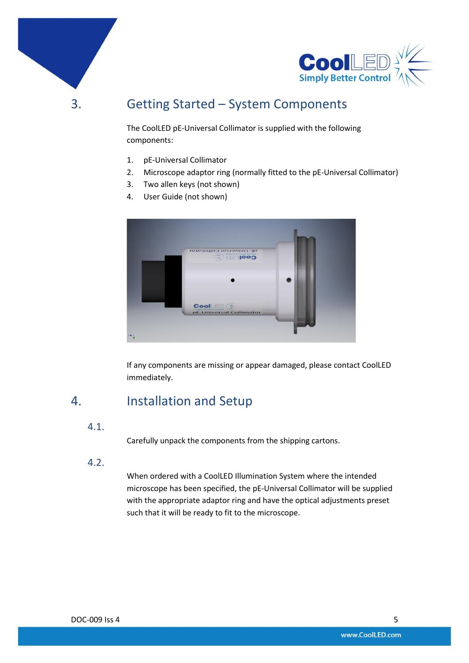



## <span id="page-4-0"></span>3. Getting Started – System Components

The CoolLED pE-Universal Collimator is supplied with the following components:

- 1. pE-Universal Collimator
- 2. Microscope adaptor ring (normally fitted to the pE-Universal Collimator)
- 3. Two allen keys (not shown)
- 4. User Guide (not shown)



If any components are missing or appear damaged, please contact CoolLED immediately.

### <span id="page-4-1"></span>4. Installation and Setup

#### 4.1.

Carefully unpack the components from the shipping cartons.

4.2.

When ordered with a CoolLED Illumination System where the intended microscope has been specified, the pE-Universal Collimator will be supplied with the appropriate adaptor ring and have the optical adjustments preset such that it will be ready to fit to the microscope.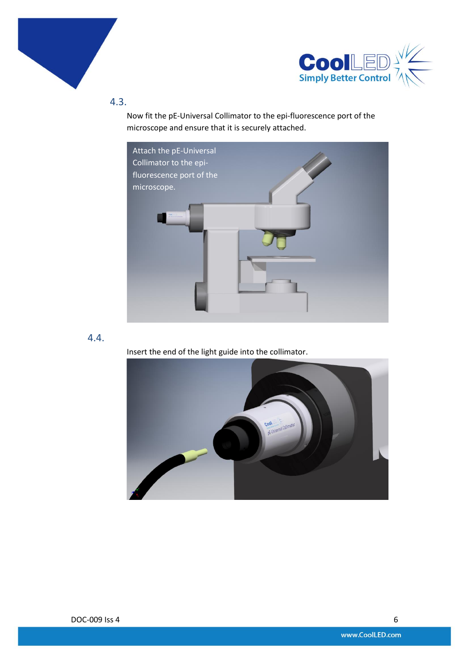



4.3.

Now fit the pE-Universal Collimator to the epi-fluorescence port of the microscope and ensure that it is securely attached.



#### 4.4.

Insert the end of the light guide into the collimator.

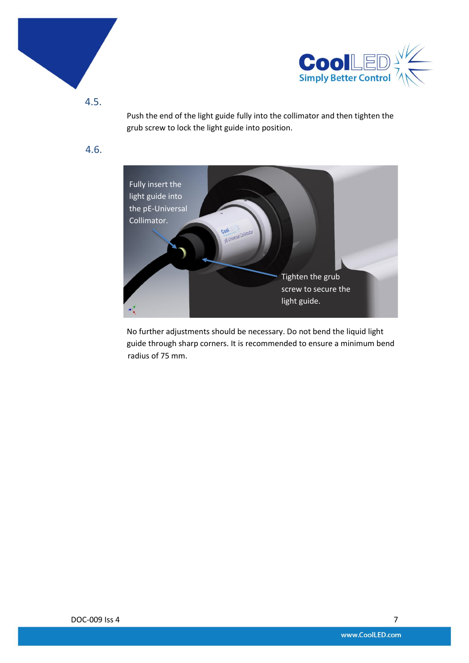



4.5.

Push the end of the light guide fully into the collimator and then tighten the grub screw to lock the light guide into position.

4.6.



No further adjustments should be necessary. Do not bend the liquid light guide through sharp corners. It is recommended to ensure a minimum bend radius of 75 mm.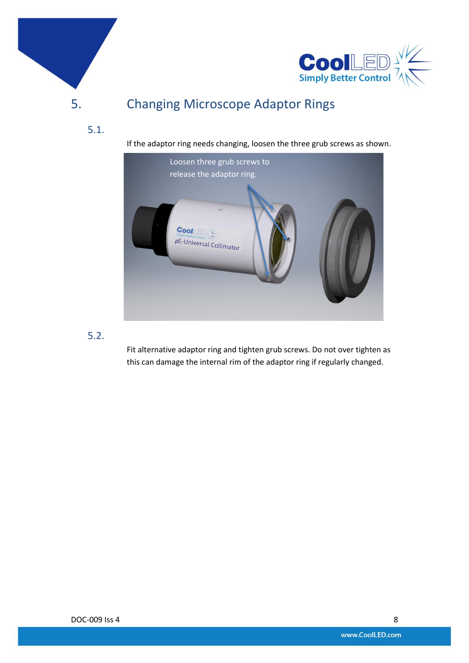



# <span id="page-7-0"></span>5. Changing Microscope Adaptor Rings

If the adaptor ring needs changing, loosen the three grub screws as shown.



#### 5.2.

5.1.

Fit alternative adaptor ring and tighten grub screws. Do not over tighten as this can damage the internal rim of the adaptor ring if regularly changed.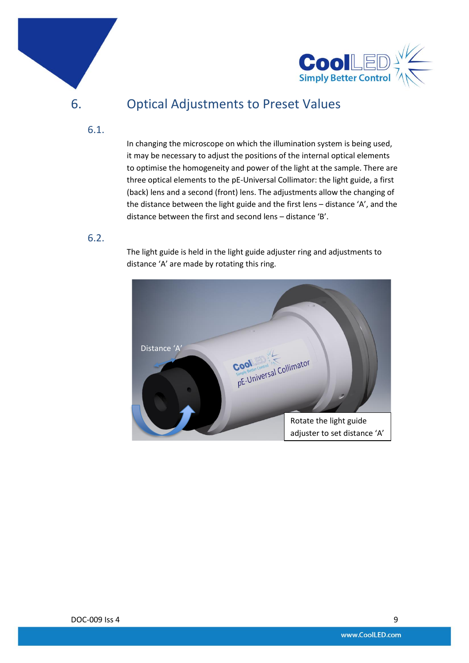



## <span id="page-8-0"></span>6. Optical Adjustments to Preset Values

#### 6.1.

In changing the microscope on which the illumination system is being used, it may be necessary to adjust the positions of the internal optical elements to optimise the homogeneity and power of the light at the sample. There are three optical elements to the pE-Universal Collimator: the light guide, a first (back) lens and a second (front) lens. The adjustments allow the changing of the distance between the light guide and the first lens – distance 'A', and the distance between the first and second lens – distance 'B'.

#### 6.2.

The light guide is held in the light guide adjuster ring and adjustments to distance 'A' are made by rotating this ring.

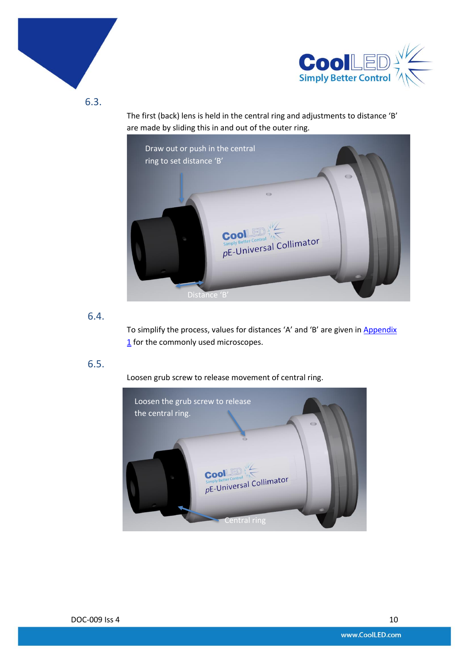



6.3.

The first (back) lens is held in the central ring and adjustments to distance 'B' are made by sliding this in and out of the outer ring.



#### 6.4.

To simplify the process, values for distances 'A' and 'B' are given in Appendix [1](#page-20-0) for the commonly used microscopes.

#### 6.5.

Loosen grub screw to release movement of central ring.

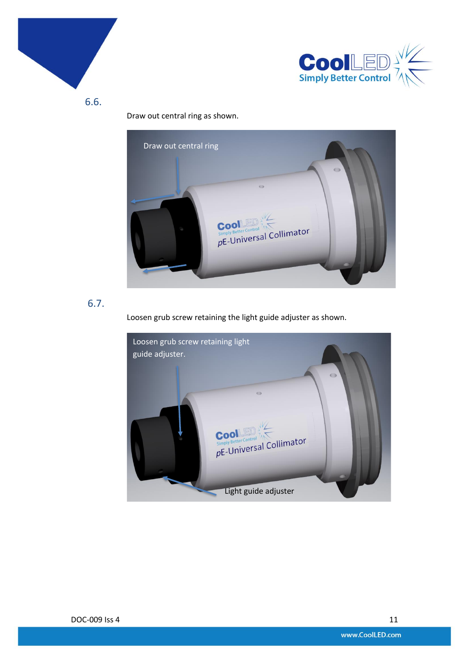



6.6.

Draw out central ring as shown.



6.7.

Loosen grub screw retaining the light guide adjuster as shown.

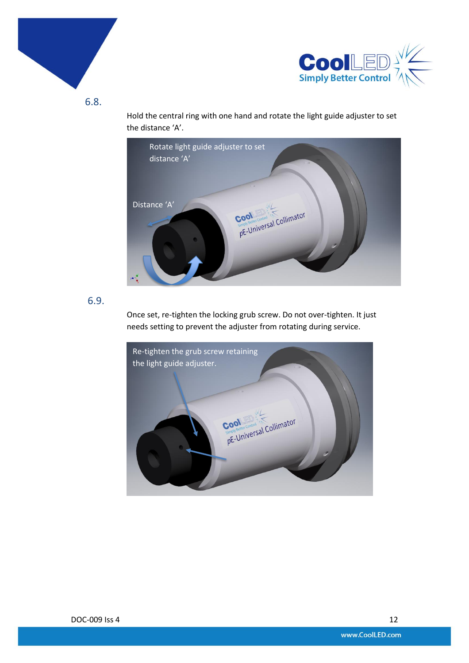



6.8.

Hold the central ring with one hand and rotate the light guide adjuster to set the distance 'A'.



#### 6.9.

Once set, re-tighten the locking grub screw. Do not over-tighten. It just needs setting to prevent the adjuster from rotating during service.

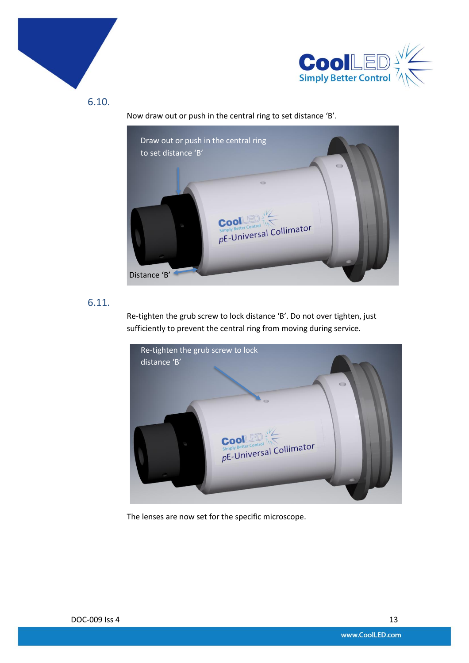



6.10.

Now draw out or push in the central ring to set distance 'B'.



#### 6.11.

Re-tighten the grub screw to lock distance 'B'. Do not over tighten, just sufficiently to prevent the central ring from moving during service.



The lenses are now set for the specific microscope.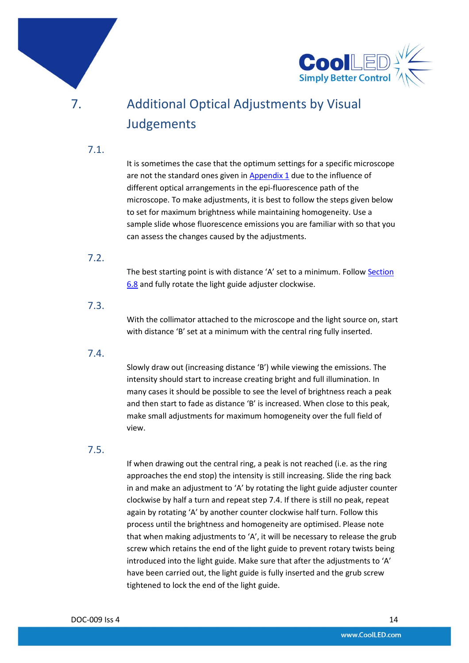

# <span id="page-13-0"></span>7. Additional Optical Adjustments by Visual **Judgements**

7.1.

It is sometimes the case that the optimum settings for a specific microscope are not the standard ones given i[n Appendix 1](#page-20-0) due to the influence of different optical arrangements in the epi-fluorescence path of the microscope. To make adjustments, it is best to follow the steps given below to set for maximum brightness while maintaining homogeneity. Use a sample slide whose fluorescence emissions you are familiar with so that you can assess the changes caused by the adjustments.

#### 7.2.

The best starting point is with distance 'A' set to a minimum. Follo[w Section](#page-8-0) [6.8](#page-8-0) and fully rotate the light guide adjuster clockwise.

#### 7.3.

With the collimator attached to the microscope and the light source on, start with distance 'B' set at a minimum with the central ring fully inserted.

#### 7.4.

Slowly draw out (increasing distance 'B') while viewing the emissions. The intensity should start to increase creating bright and full illumination. In many cases it should be possible to see the level of brightness reach a peak and then start to fade as distance 'B' is increased. When close to this peak, make small adjustments for maximum homogeneity over the full field of view.

#### 7.5.

If when drawing out the central ring, a peak is not reached (i.e. as the ring approaches the end stop) the intensity is still increasing. Slide the ring back in and make an adjustment to 'A' by rotating the light guide adjuster counter clockwise by half a turn and repeat step 7.4. If there is still no peak, repeat again by rotating 'A' by another counter clockwise half turn. Follow this process until the brightness and homogeneity are optimised. Please note that when making adjustments to 'A', it will be necessary to release the grub screw which retains the end of the light guide to prevent rotary twists being introduced into the light guide. Make sure that after the adjustments to 'A' have been carried out, the light guide is fully inserted and the grub screw tightened to lock the end of the light guide.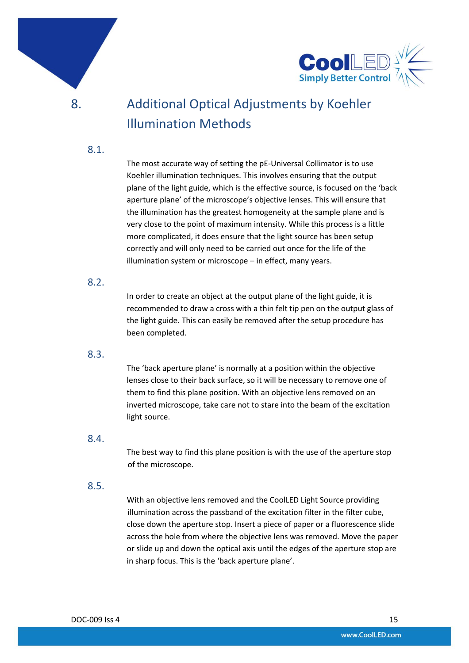



# <span id="page-14-0"></span>8. Additional Optical Adjustments by Koehler Illumination Methods

#### 8.1.

The most accurate way of setting the pE-Universal Collimator is to use Koehler illumination techniques. This involves ensuring that the output plane of the light guide, which is the effective source, is focused on the 'back aperture plane' of the microscope's objective lenses. This will ensure that the illumination has the greatest homogeneity at the sample plane and is very close to the point of maximum intensity. While this process is a little more complicated, it does ensure that the light source has been setup correctly and will only need to be carried out once for the life of the illumination system or microscope – in effect, many years.

#### 8.2.

In order to create an object at the output plane of the light guide, it is recommended to draw a cross with a thin felt tip pen on the output glass of the light guide. This can easily be removed after the setup procedure has been completed.

#### 8.3.

The 'back aperture plane' is normally at a position within the objective lenses close to their back surface, so it will be necessary to remove one of them to find this plane position. With an objective lens removed on an inverted microscope, take care not to stare into the beam of the excitation light source.

#### 8.4.

The best way to find this plane position is with the use of the aperture stop of the microscope.

#### 8.5.

With an objective lens removed and the CoolLED Light Source providing illumination across the passband of the excitation filter in the filter cube, close down the aperture stop. Insert a piece of paper or a fluorescence slide across the hole from where the objective lens was removed. Move the paper or slide up and down the optical axis until the edges of the aperture stop are in sharp focus. This is the 'back aperture plane'.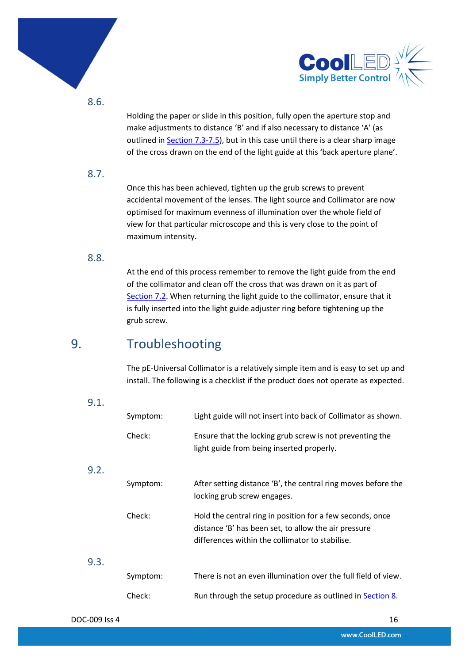



8.6.

Holding the paper or slide in this position, fully open the aperture stop and make adjustments to distance 'B' and if also necessary to distance 'A' (as outlined in **Section 7.3-7.5**), but in this case until there is a clear sharp image of the cross drawn on the end of the light guide at this 'back aperture plane'.

#### 8.7.

Once this has been achieved, tighten up the grub screws to prevent accidental movement of the lenses. The light source and Collimator are now optimised for maximum evenness of illumination over the whole field of view for that particular microscope and this is very close to the point of maximum intensity.

#### 8.8.

At the end of this process remember to remove the light guide from the end of the collimator and clean off the cross that was drawn on it as part of [Section](#page-13-0) 7.2. When returning the light guide to the collimator, ensure that it is fully inserted into the light guide adjuster ring before tightening up the grub screw.

## <span id="page-15-0"></span>9. Troubleshooting

The pE-Universal Collimator is a relatively simple item and is easy to set up and install. The following is a checklist if the product does not operate as expected.

#### 9.1.

9.2.

| Symptom: | Light guide will not insert into back of Collimator as shown.                                                                                                        |
|----------|----------------------------------------------------------------------------------------------------------------------------------------------------------------------|
| Check:   | Ensure that the locking grub screw is not preventing the<br>light guide from being inserted properly.                                                                |
| Symptom: | After setting distance 'B', the central ring moves before the<br>locking grub screw engages.                                                                         |
| Check:   | Hold the central ring in position for a few seconds, once<br>distance 'B' has been set, to allow the air pressure<br>differences within the collimator to stabilise. |
| Symptom: | There is not an even illumination over the full field of view.                                                                                                       |
| Check:   | Run through the setup procedure as outlined in Section 8.                                                                                                            |

9.3.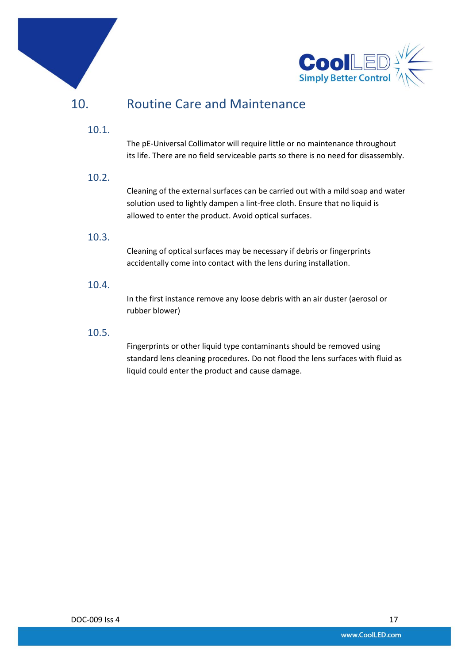



## <span id="page-16-0"></span>10. Routine Care and Maintenance

#### 10.1.

The pE-Universal Collimator will require little or no maintenance throughout its life. There are no field serviceable parts so there is no need for disassembly.

#### 10.2.

Cleaning of the external surfaces can be carried out with a mild soap and water solution used to lightly dampen a lint-free cloth. Ensure that no liquid is allowed to enter the product. Avoid optical surfaces.

#### 10.3.

Cleaning of optical surfaces may be necessary if debris or fingerprints accidentally come into contact with the lens during installation.

#### 10.4.

In the first instance remove any loose debris with an air duster (aerosol or rubber blower)

#### 10.5.

Fingerprints or other liquid type contaminants should be removed using standard lens cleaning procedures. Do not flood the lens surfaces with fluid as liquid could enter the product and cause damage.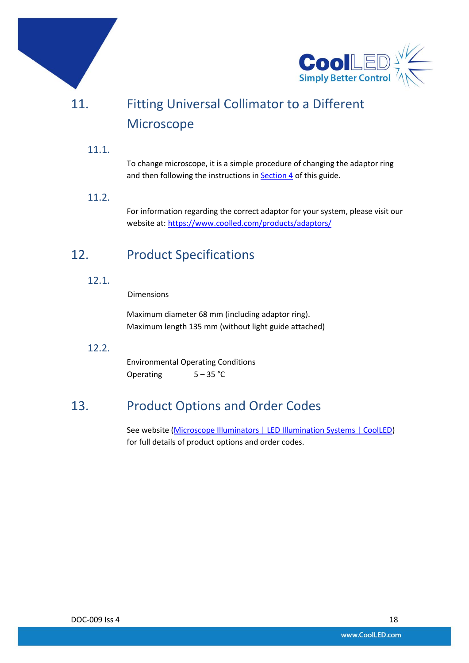

# <span id="page-17-0"></span>11. Fitting Universal Collimator to a Different Microscope

#### 11.1.

To change microscope, it is a simple procedure of changing the adaptor ring and then following the instructions in **Section 4** of this guide.

#### 11.2.

For information regarding the correct adaptor for your system, please visit our website at:<https://www.coolled.com/products/adaptors/>

### <span id="page-17-1"></span>12. Product Specifications

#### 12.1.

Dimensions

Maximum diameter 68 mm (including adaptor ring). Maximum length 135 mm (without light guide attached)

#### 12.2.

Environmental Operating Conditions Operating 5-35 °C

### <span id="page-17-2"></span>13. Product Options and Order Codes

See website [\(Microscope Illuminators | LED Illumination Systems | CoolLED\)](https://www.coolled.com/products/) for full details of product options and order codes.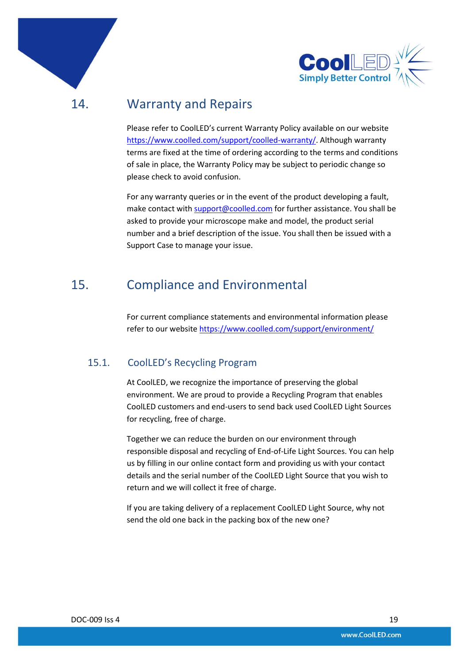

<span id="page-18-0"></span>14. Warranty and Repairs

Please refer to CoolLED's current Warranty Policy available on our website [https://www.coolled.com/support/coolled-warranty/.](https://www.coolled.com/support/coolled-warranty/) Although warranty terms are fixed at the time of ordering according to the terms and conditions of sale in place, the Warranty Policy may be subject to periodic change so please check to avoid confusion.

For any warranty queries or in the event of the product developing a fault, make contact wit[h support@coolled.com](mailto:support@coolled.com) for further assistance. You shall be asked to provide your microscope make and model, the product serial number and a brief description of the issue. You shall then be issued with a Support Case to manage your issue.

### <span id="page-18-1"></span>15. Compliance and Environmental

For current compliance statements and environmental information please refer to our website<https://www.coolled.com/support/environment/>

#### 15.1. CoolLED's Recycling Program

At CoolLED, we recognize the importance of preserving the global environment. We are proud to provide a Recycling Program that enables CoolLED customers and end-users to send back used CoolLED Light Sources for recycling, free of charge.

Together we can reduce the burden on our environment through responsible disposal and recycling of End-of-Life Light Sources. You can help us by filling in our online contact form and providing us with your contact details and the serial number of the CoolLED Light Source that you wish to return and we will collect it free of charge.

If you are taking delivery of a replacement CoolLED Light Source, why not send the old one back in the packing box of the new one?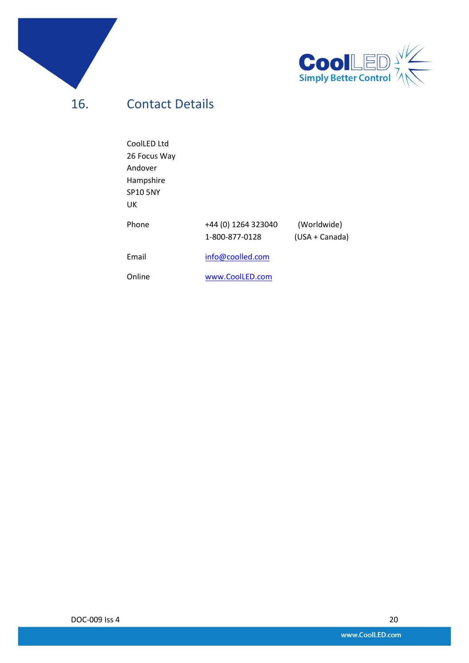



<span id="page-19-0"></span>16. Contact Details

| CoolLED Ltd     |                                       |                               |
|-----------------|---------------------------------------|-------------------------------|
| 26 Focus Way    |                                       |                               |
| Andover         |                                       |                               |
| Hampshire       |                                       |                               |
| <b>SP10 5NY</b> |                                       |                               |
| UK              |                                       |                               |
| Phone           | +44 (0) 1264 323040<br>1-800-877-0128 | (Worldwide)<br>(USA + Canada) |
| Email           | info@coolled.com                      |                               |
| Online          | www.CoolLED.com                       |                               |

DOC-009 Iss 4 20